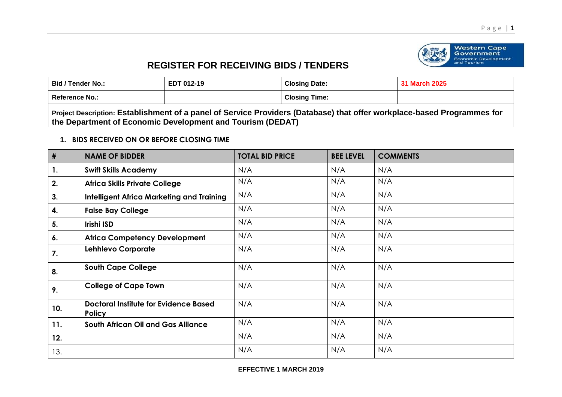

Western Cape<br>Government<br>Economic Development and Tourism

## **REGISTER FOR RECEIVING BIDS / TENDERS**

| <b>Bid / Tender No.:</b> | EDT 012-19 | <b>Closing Date:</b> | <b>March 2025</b> |
|--------------------------|------------|----------------------|-------------------|
| <b>Reference No.:</b>    |            | <b>Closing Time:</b> |                   |

**Project Description: Establishment of a panel of Service Providers (Database) that offer workplace-based Programmes for the Department of Economic Development and Tourism (DEDAT)**

## **1. BIDS RECEIVED ON OR BEFORE CLOSING TIME**

| #   | <b>NAME OF BIDDER</b>                                         | <b>TOTAL BID PRICE</b> | <b>BEE LEVEL</b> | <b>COMMENTS</b> |
|-----|---------------------------------------------------------------|------------------------|------------------|-----------------|
| 1.  | <b>Swift Skills Academy</b>                                   | N/A                    | N/A              | N/A             |
| 2.  | <b>Africa Skills Private College</b>                          | N/A                    | N/A              | N/A             |
| 3.  | <b>Intelligent Africa Marketing and Training</b>              | N/A                    | N/A              | N/A             |
| 4.  | <b>False Bay College</b>                                      | N/A                    | N/A              | N/A             |
| 5.  | Irishi ISD                                                    | N/A                    | N/A              | N/A             |
| 6.  | <b>Africa Competency Development</b>                          | N/A                    | N/A              | N/A             |
| 7.  | <b>Lehhlevo Corporate</b>                                     | N/A                    | N/A              | N/A             |
| 8.  | <b>South Cape College</b>                                     | N/A                    | N/A              | N/A             |
| 9.  | <b>College of Cape Town</b>                                   | N/A                    | N/A              | N/A             |
| 10. | <b>Doctoral Institute for Evidence Based</b><br><b>Policy</b> | N/A                    | N/A              | N/A             |
| 11. | <b>South African Oil and Gas Alliance</b>                     | N/A                    | N/A              | N/A             |
| 12. |                                                               | N/A                    | N/A              | N/A             |
| 13. |                                                               | N/A                    | N/A              | N/A             |